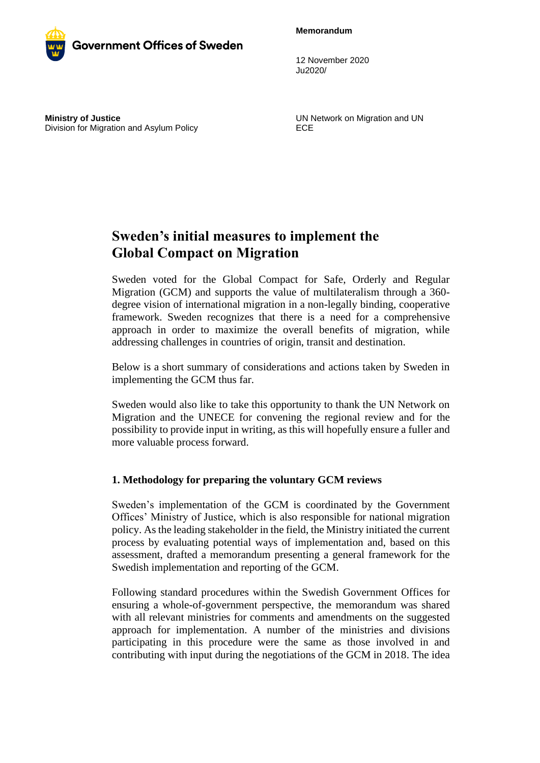**Memorandum**



12 November 2020 Ju2020/

**Ministry of Justice** Division for Migration and Asylum Policy UN Network on Migration and UN ECE

# **Sweden's initial measures to implement the Global Compact on Migration**

Sweden voted for the Global Compact for Safe, Orderly and Regular Migration (GCM) and supports the value of multilateralism through a 360 degree vision of international migration in a non-legally binding, cooperative framework. Sweden recognizes that there is a need for a comprehensive approach in order to maximize the overall benefits of migration, while addressing challenges in countries of origin, transit and destination.

Below is a short summary of considerations and actions taken by Sweden in implementing the GCM thus far.

Sweden would also like to take this opportunity to thank the UN Network on Migration and the UNECE for convening the regional review and for the possibility to provide input in writing, as this will hopefully ensure a fuller and more valuable process forward.

## **1. Methodology for preparing the voluntary GCM reviews**

Sweden's implementation of the GCM is coordinated by the Government Offices' Ministry of Justice, which is also responsible for national migration policy. As the leading stakeholder in the field, the Ministry initiated the current process by evaluating potential ways of implementation and, based on this assessment, drafted a memorandum presenting a general framework for the Swedish implementation and reporting of the GCM.

Following standard procedures within the Swedish Government Offices for ensuring a whole-of-government perspective, the memorandum was shared with all relevant ministries for comments and amendments on the suggested approach for implementation. A number of the ministries and divisions participating in this procedure were the same as those involved in and contributing with input during the negotiations of the GCM in 2018. The idea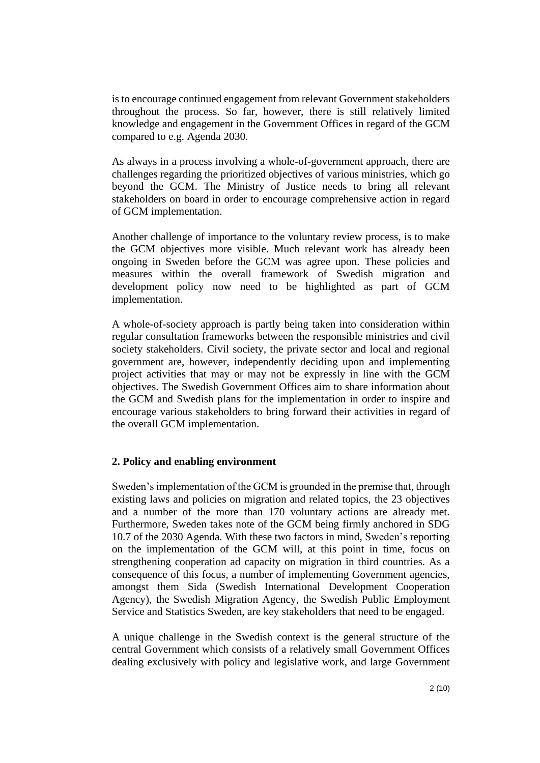is to encourage continued engagement from relevant Government stakeholders throughout the process. So far, however, there is still relatively limited knowledge and engagement in the Government Offices in regard of the GCM compared to e.g. Agenda 2030.

As always in a process involving a whole-of-government approach, there are challenges regarding the prioritized objectives of various ministries, which go beyond the GCM. The Ministry of Justice needs to bring all relevant stakeholders on board in order to encourage comprehensive action in regard of GCM implementation.

Another challenge of importance to the voluntary review process, is to make the GCM objectives more visible. Much relevant work has already been ongoing in Sweden before the GCM was agree upon. These policies and measures within the overall framework of Swedish migration and development policy now need to be highlighted as part of GCM implementation.

A whole-of-society approach is partly being taken into consideration within regular consultation frameworks between the responsible ministries and civil society stakeholders. Civil society, the private sector and local and regional government are, however, independently deciding upon and implementing project activities that may or may not be expressly in line with the GCM objectives. The Swedish Government Offices aim to share information about the GCM and Swedish plans for the implementation in order to inspire and encourage various stakeholders to bring forward their activities in regard of the overall GCM implementation.

## **2. Policy and enabling environment**

Sweden's implementation of the GCM is grounded in the premise that, through existing laws and policies on migration and related topics, the 23 objectives and a number of the more than 170 voluntary actions are already met. Furthermore, Sweden takes note of the GCM being firmly anchored in SDG 10.7 of the 2030 Agenda. With these two factors in mind, Sweden's reporting on the implementation of the GCM will, at this point in time, focus on strengthening cooperation ad capacity on migration in third countries. As a consequence of this focus, a number of implementing Government agencies, amongst them Sida (Swedish International Development Cooperation Agency), the Swedish Migration Agency, the Swedish Public Employment Service and Statistics Sweden, are key stakeholders that need to be engaged.

A unique challenge in the Swedish context is the general structure of the central Government which consists of a relatively small Government Offices dealing exclusively with policy and legislative work, and large Government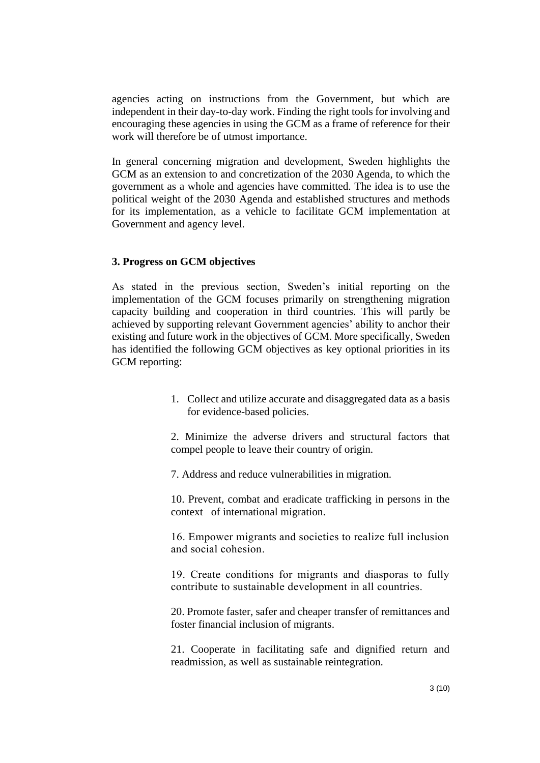agencies acting on instructions from the Government, but which are independent in their day-to-day work. Finding the right tools for involving and encouraging these agencies in using the GCM as a frame of reference for their work will therefore be of utmost importance.

In general concerning migration and development, Sweden highlights the GCM as an extension to and concretization of the 2030 Agenda, to which the government as a whole and agencies have committed. The idea is to use the political weight of the 2030 Agenda and established structures and methods for its implementation, as a vehicle to facilitate GCM implementation at Government and agency level.

## **3. Progress on GCM objectives**

As stated in the previous section, Sweden's initial reporting on the implementation of the GCM focuses primarily on strengthening migration capacity building and cooperation in third countries. This will partly be achieved by supporting relevant Government agencies' ability to anchor their existing and future work in the objectives of GCM. More specifically, Sweden has identified the following GCM objectives as key optional priorities in its GCM reporting:

> 1. Collect and utilize accurate and disaggregated data as a basis for evidence-based policies.

> 2. Minimize the adverse drivers and structural factors that compel people to leave their country of origin*.*

7. Address and reduce vulnerabilities in migration.

10. Prevent, combat and eradicate trafficking in persons in the context of international migration.

16. Empower migrants and societies to realize full inclusion and social cohesion.

19. Create conditions for migrants and diasporas to fully contribute to sustainable development in all countries.

20. Promote faster, safer and cheaper transfer of remittances and foster financial inclusion of migrants.

21. Cooperate in facilitating safe and dignified return and readmission, as well as sustainable reintegration.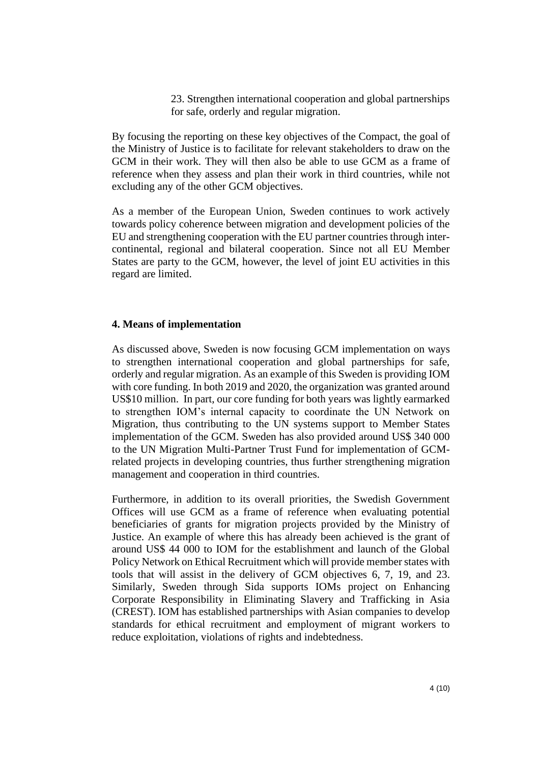23. Strengthen international cooperation and global partnerships for safe, orderly and regular migration.

By focusing the reporting on these key objectives of the Compact, the goal of the Ministry of Justice is to facilitate for relevant stakeholders to draw on the GCM in their work. They will then also be able to use GCM as a frame of reference when they assess and plan their work in third countries, while not excluding any of the other GCM objectives.

As a member of the European Union, Sweden continues to work actively towards policy coherence between migration and development policies of the EU and strengthening cooperation with the EU partner countries through intercontinental, regional and bilateral cooperation. Since not all EU Member States are party to the GCM, however, the level of joint EU activities in this regard are limited.

#### **4. Means of implementation**

As discussed above, Sweden is now focusing GCM implementation on ways to strengthen international cooperation and global partnerships for safe, orderly and regular migration. As an example of this Sweden is providing IOM with core funding. In both 2019 and 2020, the organization was granted around US\$10 million. In part, our core funding for both years was lightly earmarked to strengthen IOM's internal capacity to coordinate the UN Network on Migration, thus contributing to the UN systems support to Member States implementation of the GCM. Sweden has also provided around US\$ 340 000 to the UN Migration Multi-Partner Trust Fund for implementation of GCMrelated projects in developing countries, thus further strengthening migration management and cooperation in third countries.

Furthermore, in addition to its overall priorities, the Swedish Government Offices will use GCM as a frame of reference when evaluating potential beneficiaries of grants for migration projects provided by the Ministry of Justice. An example of where this has already been achieved is the grant of around US\$ 44 000 to IOM for the establishment and launch of the Global Policy Network on Ethical Recruitment which will provide member states with tools that will assist in the delivery of GCM objectives 6, 7, 19, and 23. Similarly, Sweden through Sida supports IOMs project on Enhancing Corporate Responsibility in Eliminating Slavery and Trafficking in Asia (CREST). IOM has established partnerships with Asian companies to develop standards for ethical recruitment and employment of migrant workers to reduce exploitation, violations of rights and indebtedness.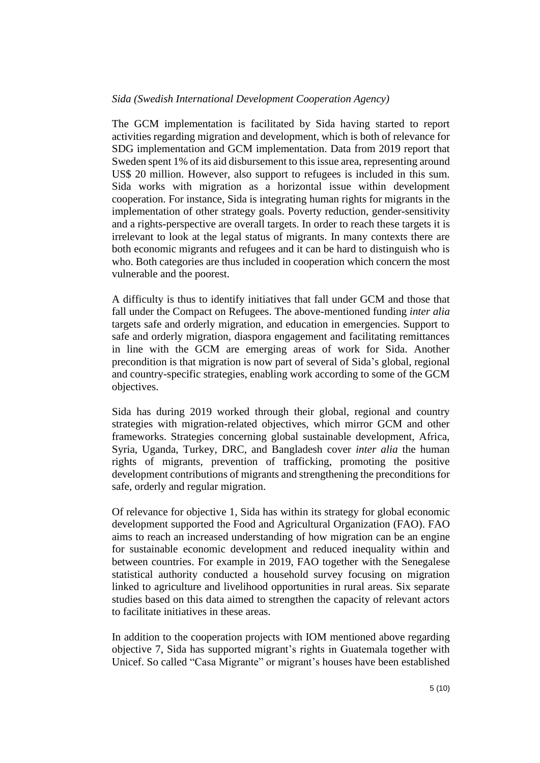#### *Sida (Swedish International Development Cooperation Agency)*

The GCM implementation is facilitated by Sida having started to report activities regarding migration and development, which is both of relevance for SDG implementation and GCM implementation. Data from 2019 report that Sweden spent 1% of its aid disbursement to this issue area, representing around US\$ 20 million. However, also support to refugees is included in this sum. Sida works with migration as a horizontal issue within development cooperation. For instance, Sida is integrating human rights for migrants in the implementation of other strategy goals. Poverty reduction, gender-sensitivity and a rights-perspective are overall targets. In order to reach these targets it is irrelevant to look at the legal status of migrants. In many contexts there are both economic migrants and refugees and it can be hard to distinguish who is who. Both categories are thus included in cooperation which concern the most vulnerable and the poorest.

A difficulty is thus to identify initiatives that fall under GCM and those that fall under the Compact on Refugees. The above-mentioned funding *inter alia* targets safe and orderly migration, and education in emergencies. Support to safe and orderly migration, diaspora engagement and facilitating remittances in line with the GCM are emerging areas of work for Sida. Another precondition is that migration is now part of several of Sida's global, regional and country-specific strategies, enabling work according to some of the GCM objectives.

Sida has during 2019 worked through their global, regional and country strategies with migration-related objectives, which mirror GCM and other frameworks. Strategies concerning global sustainable development, Africa, Syria, Uganda, Turkey, DRC, and Bangladesh cover *inter alia* the human rights of migrants, prevention of trafficking, promoting the positive development contributions of migrants and strengthening the preconditions for safe, orderly and regular migration.

Of relevance for objective 1, Sida has within its strategy for global economic development supported the Food and Agricultural Organization (FAO). FAO aims to reach an increased understanding of how migration can be an engine for sustainable economic development and reduced inequality within and between countries. For example in 2019, FAO together with the Senegalese statistical authority conducted a household survey focusing on migration linked to agriculture and livelihood opportunities in rural areas. Six separate studies based on this data aimed to strengthen the capacity of relevant actors to facilitate initiatives in these areas.

In addition to the cooperation projects with IOM mentioned above regarding objective 7, Sida has supported migrant's rights in Guatemala together with Unicef. So called "Casa Migrante" or migrant's houses have been established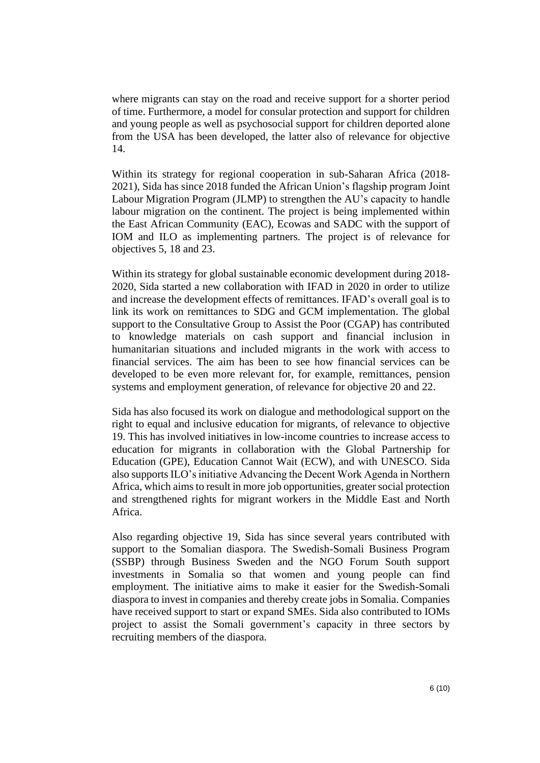where migrants can stay on the road and receive support for a shorter period of time. Furthermore, a model for consular protection and support for children and young people as well as psychosocial support for children deported alone from the USA has been developed, the latter also of relevance for objective 14.

Within its strategy for regional cooperation in sub-Saharan Africa (2018- 2021), Sida has since 2018 funded the African Union's flagship program Joint Labour Migration Program (JLMP) to strengthen the AU's capacity to handle labour migration on the continent. The project is being implemented within the East African Community (EAC), Ecowas and SADC with the support of IOM and ILO as implementing partners. The project is of relevance for objectives 5, 18 and 23.

Within its strategy for global sustainable economic development during 2018- 2020, Sida started a new collaboration with IFAD in 2020 in order to utilize and increase the development effects of remittances. IFAD's overall goal is to link its work on remittances to SDG and GCM implementation. The global support to the Consultative Group to Assist the Poor (CGAP) has contributed to knowledge materials on cash support and financial inclusion in humanitarian situations and included migrants in the work with access to financial services. The aim has been to see how financial services can be developed to be even more relevant for, for example, remittances, pension systems and employment generation, of relevance for objective 20 and 22.

Sida has also focused its work on dialogue and methodological support on the right to equal and inclusive education for migrants, of relevance to objective 19. This has involved initiatives in low-income countries to increase access to education for migrants in collaboration with the Global Partnership for Education (GPE), Education Cannot Wait (ECW), and with UNESCO. Sida also supports ILO's initiative Advancing the Decent Work Agenda in Northern Africa, which aims to result in more job opportunities, greater social protection and strengthened rights for migrant workers in the Middle East and North Africa.

Also regarding objective 19, Sida has since several years contributed with support to the Somalian diaspora. The Swedish-Somali Business Program (SSBP) through Business Sweden and the NGO Forum South support investments in Somalia so that women and young people can find employment. The initiative aims to make it easier for the Swedish-Somali diaspora to invest in companies and thereby create jobs in Somalia. Companies have received support to start or expand SMEs. Sida also contributed to IOMs project to assist the Somali government's capacity in three sectors by recruiting members of the diaspora.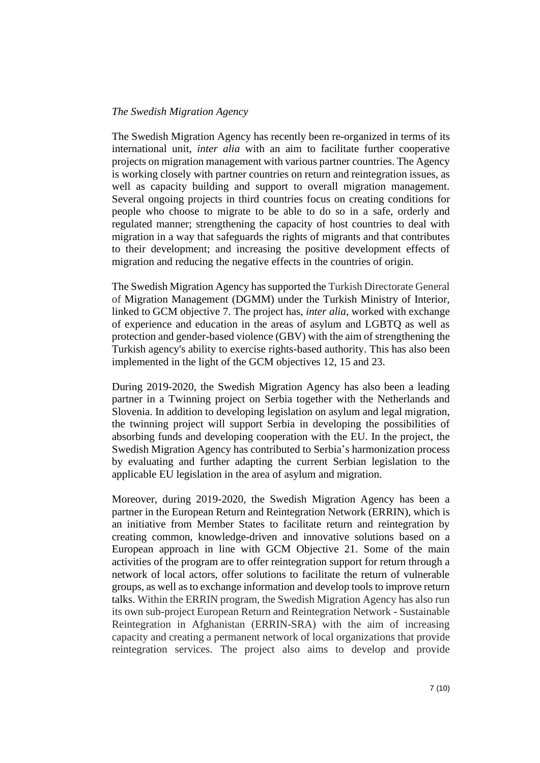#### *The Swedish Migration Agency*

The Swedish Migration Agency has recently been re-organized in terms of its international unit, *inter alia* with an aim to facilitate further cooperative projects on migration management with various partner countries. The Agency is working closely with partner countries on return and reintegration issues, as well as capacity building and support to overall migration management. Several ongoing projects in third countries focus on creating conditions for people who choose to migrate to be able to do so in a safe, orderly and regulated manner; strengthening the capacity of host countries to deal with migration in a way that safeguards the rights of migrants and that contributes to their development; and increasing the positive development effects of migration and reducing the negative effects in the countries of origin.

The Swedish Migration Agency has supported the Turkish Directorate General of Migration Management (DGMM) under the Turkish Ministry of Interior, linked to GCM objective 7. The project has, *inter alia*, worked with exchange of experience and education in the areas of asylum and LGBTQ as well as protection and gender-based violence (GBV) with the aim of strengthening the Turkish agency's ability to exercise rights-based authority. This has also been implemented in the light of the GCM objectives 12, 15 and 23.

During 2019-2020, the Swedish Migration Agency has also been a leading partner in a Twinning project on Serbia together with the Netherlands and Slovenia. In addition to developing legislation on asylum and legal migration, the twinning project will support Serbia in developing the possibilities of absorbing funds and developing cooperation with the EU. In the project, the Swedish Migration Agency has contributed to Serbia's harmonization process by evaluating and further adapting the current Serbian legislation to the applicable EU legislation in the area of asylum and migration.

Moreover, during 2019-2020, the Swedish Migration Agency has been a partner in the European Return and Reintegration Network (ERRIN), which is an initiative from Member States to facilitate return and reintegration by creating common, knowledge-driven and innovative solutions based on a European approach in line with GCM Objective 21. Some of the main activities of the program are to offer reintegration support for return through a network of local actors, offer solutions to facilitate the return of vulnerable groups, as well as to exchange information and develop tools to improve return talks. Within the ERRIN program, the Swedish Migration Agency has also run its own sub-project European Return and Reintegration Network - Sustainable Reintegration in Afghanistan (ERRIN-SRA) with the aim of increasing capacity and creating a permanent network of local organizations that provide reintegration services. The project also aims to develop and provide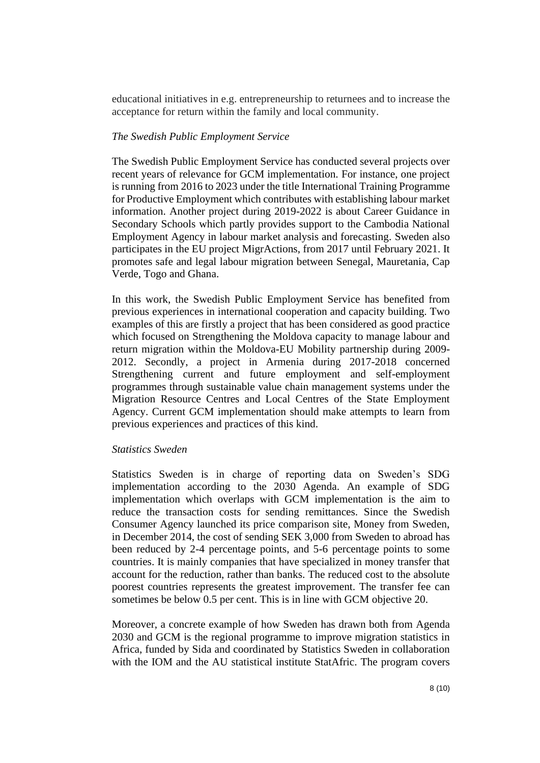educational initiatives in e.g. entrepreneurship to returnees and to increase the acceptance for return within the family and local community.

#### *The Swedish Public Employment Service*

The Swedish Public Employment Service has conducted several projects over recent years of relevance for GCM implementation. For instance, one project is running from 2016 to 2023 under the title International Training Programme for Productive Employment which contributes with establishing labour market information. Another project during 2019-2022 is about Career Guidance in Secondary Schools which partly provides support to the Cambodia National Employment Agency in labour market analysis and forecasting. Sweden also participates in the EU project MigrActions, from 2017 until February 2021. It promotes safe and legal labour migration between Senegal, Mauretania, Cap Verde, Togo and Ghana.

In this work, the Swedish Public Employment Service has benefited from previous experiences in international cooperation and capacity building. Two examples of this are firstly a project that has been considered as good practice which focused on Strengthening the Moldova capacity to manage labour and return migration within the Moldova-EU Mobility partnership during 2009- 2012. Secondly, a project in Armenia during 2017-2018 concerned Strengthening current and future employment and self-employment programmes through sustainable value chain management systems under the Migration Resource Centres and Local Centres of the State Employment Agency. Current GCM implementation should make attempts to learn from previous experiences and practices of this kind.

#### *Statistics Sweden*

Statistics Sweden is in charge of reporting data on Sweden's SDG implementation according to the 2030 Agenda. An example of SDG implementation which overlaps with GCM implementation is the aim to reduce the transaction costs for sending remittances. Since the Swedish Consumer Agency launched its price comparison site, Money from Sweden, in December 2014, the cost of sending SEK 3,000 from Sweden to abroad has been reduced by 2-4 percentage points, and 5-6 percentage points to some countries. It is mainly companies that have specialized in money transfer that account for the reduction, rather than banks. The reduced cost to the absolute poorest countries represents the greatest improvement. The transfer fee can sometimes be below 0.5 per cent. This is in line with GCM objective 20.

Moreover, a concrete example of how Sweden has drawn both from Agenda 2030 and GCM is the regional programme to improve migration statistics in Africa, funded by Sida and coordinated by Statistics Sweden in collaboration with the IOM and the AU statistical institute StatAfric. The program covers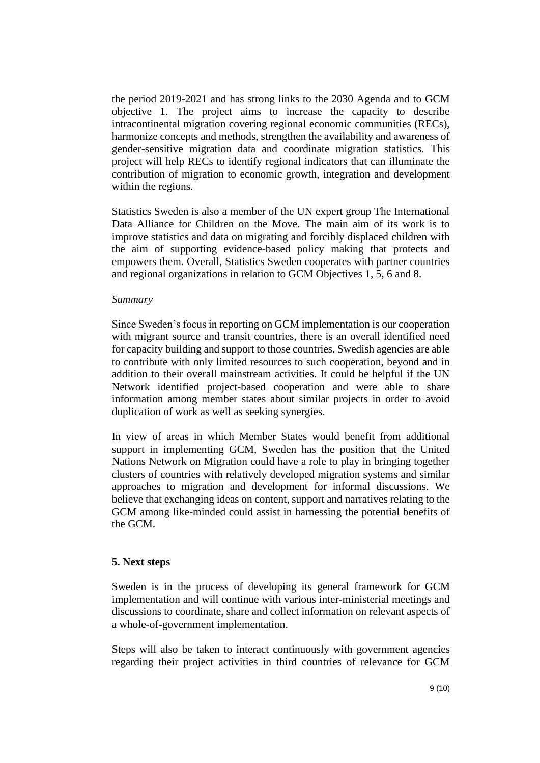the period 2019-2021 and has strong links to the 2030 Agenda and to GCM objective 1. The project aims to increase the capacity to describe intracontinental migration covering regional economic communities (RECs), harmonize concepts and methods, strengthen the availability and awareness of gender-sensitive migration data and coordinate migration statistics. This project will help RECs to identify regional indicators that can illuminate the contribution of migration to economic growth, integration and development within the regions.

Statistics Sweden is also a member of the UN expert group The International Data Alliance for Children on the Move. The main aim of its work is to improve statistics and data on migrating and forcibly displaced children with the aim of supporting evidence-based policy making that protects and empowers them. Overall, Statistics Sweden cooperates with partner countries and regional organizations in relation to GCM Objectives 1, 5, 6 and 8.

#### *Summary*

Since Sweden's focus in reporting on GCM implementation is our cooperation with migrant source and transit countries, there is an overall identified need for capacity building and support to those countries. Swedish agencies are able to contribute with only limited resources to such cooperation, beyond and in addition to their overall mainstream activities. It could be helpful if the UN Network identified project-based cooperation and were able to share information among member states about similar projects in order to avoid duplication of work as well as seeking synergies.

In view of areas in which Member States would benefit from additional support in implementing GCM, Sweden has the position that the United Nations Network on Migration could have a role to play in bringing together clusters of countries with relatively developed migration systems and similar approaches to migration and development for informal discussions. We believe that exchanging ideas on content, support and narratives relating to the GCM among like-minded could assist in harnessing the potential benefits of the GCM.

## **5. Next steps**

Sweden is in the process of developing its general framework for GCM implementation and will continue with various inter-ministerial meetings and discussions to coordinate, share and collect information on relevant aspects of a whole-of-government implementation.

Steps will also be taken to interact continuously with government agencies regarding their project activities in third countries of relevance for GCM